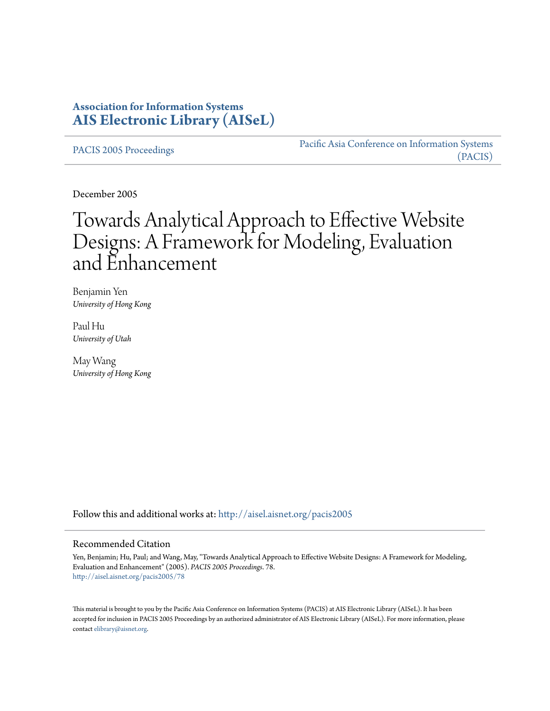# **Association for Information Systems [AIS Electronic Library \(AISeL\)](http://aisel.aisnet.org?utm_source=aisel.aisnet.org%2Fpacis2005%2F78&utm_medium=PDF&utm_campaign=PDFCoverPages)**

[PACIS 2005 Proceedings](http://aisel.aisnet.org/pacis2005?utm_source=aisel.aisnet.org%2Fpacis2005%2F78&utm_medium=PDF&utm_campaign=PDFCoverPages)

[Pacific Asia Conference on Information Systems](http://aisel.aisnet.org/pacis?utm_source=aisel.aisnet.org%2Fpacis2005%2F78&utm_medium=PDF&utm_campaign=PDFCoverPages) [\(PACIS\)](http://aisel.aisnet.org/pacis?utm_source=aisel.aisnet.org%2Fpacis2005%2F78&utm_medium=PDF&utm_campaign=PDFCoverPages)

December 2005

# Towards Analytical Approach to Effective Website Designs: A Framework for Modeling, Evaluation and Enhancement

Benjamin Yen *University of Hong Kong*

Paul Hu *University of Utah*

May Wang *University of Hong Kong*

Follow this and additional works at: [http://aisel.aisnet.org/pacis2005](http://aisel.aisnet.org/pacis2005?utm_source=aisel.aisnet.org%2Fpacis2005%2F78&utm_medium=PDF&utm_campaign=PDFCoverPages)

#### Recommended Citation

Yen, Benjamin; Hu, Paul; and Wang, May, "Towards Analytical Approach to Effective Website Designs: A Framework for Modeling, Evaluation and Enhancement" (2005). *PACIS 2005 Proceedings*. 78. [http://aisel.aisnet.org/pacis2005/78](http://aisel.aisnet.org/pacis2005/78?utm_source=aisel.aisnet.org%2Fpacis2005%2F78&utm_medium=PDF&utm_campaign=PDFCoverPages)

This material is brought to you by the Pacific Asia Conference on Information Systems (PACIS) at AIS Electronic Library (AISeL). It has been accepted for inclusion in PACIS 2005 Proceedings by an authorized administrator of AIS Electronic Library (AISeL). For more information, please contact [elibrary@aisnet.org.](mailto:elibrary@aisnet.org%3E)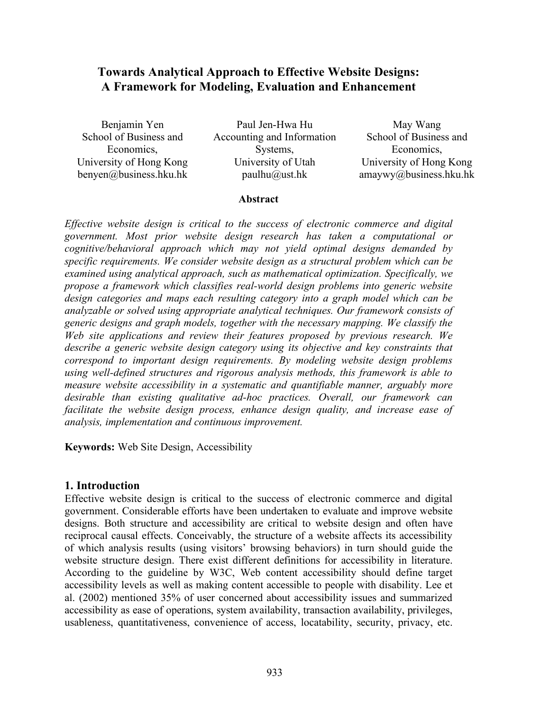## **Towards Analytical Approach to Effective Website Designs: A Framework for Modeling, Evaluation and Enhancement**

Benjamin Yen School of Business and Economics, University of Hong Kong benyen@business.hku.hk

Paul Jen-Hwa Hu Accounting and Information Systems, University of Utah paulhu@ust.hk

May Wang School of Business and Economics, University of Hong Kong amaywy@business.hku.hk

#### **Abstract**

*Effective website design is critical to the success of electronic commerce and digital government. Most prior website design research has taken a computational or cognitive/behavioral approach which may not yield optimal designs demanded by specific requirements. We consider website design as a structural problem which can be examined using analytical approach, such as mathematical optimization. Specifically, we propose a framework which classifies real-world design problems into generic website design categories and maps each resulting category into a graph model which can be analyzable or solved using appropriate analytical techniques. Our framework consists of generic designs and graph models, together with the necessary mapping. We classify the Web site applications and review their features proposed by previous research. We describe a generic website design category using its objective and key constraints that correspond to important design requirements. By modeling website design problems using well-defined structures and rigorous analysis methods, this framework is able to measure website accessibility in a systematic and quantifiable manner, arguably more desirable than existing qualitative ad-hoc practices. Overall, our framework can facilitate the website design process, enhance design quality, and increase ease of analysis, implementation and continuous improvement.*

**Keywords:** Web Site Design, Accessibility

#### **1. Introduction**

Effective website design is critical to the success of electronic commerce and digital government. Considerable efforts have been undertaken to evaluate and improve website designs. Both structure and accessibility are critical to website design and often have reciprocal causal effects. Conceivably, the structure of a website affects its accessibility of which analysis results (using visitors' browsing behaviors) in turn should guide the website structure design. There exist different definitions for accessibility in literature. According to the guideline by W3C, Web content accessibility should define target accessibility levels as well as making content accessible to people with disability. Lee et al. (2002) mentioned 35% of user concerned about accessibility issues and summarized accessibility as ease of operations, system availability, transaction availability, privileges, usableness, quantitativeness, convenience of access, locatability, security, privacy, etc.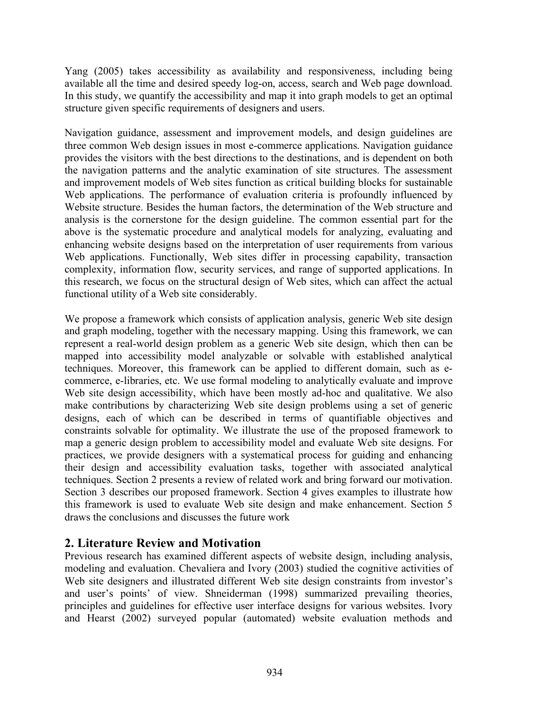Yang (2005) takes accessibility as availability and responsiveness, including being available all the time and desired speedy log-on, access, search and Web page download. In this study, we quantify the accessibility and map it into graph models to get an optimal structure given specific requirements of designers and users.

Navigation guidance, assessment and improvement models, and design guidelines are three common Web design issues in most e-commerce applications. Navigation guidance provides the visitors with the best directions to the destinations, and is dependent on both the navigation patterns and the analytic examination of site structures. The assessment and improvement models of Web sites function as critical building blocks for sustainable Web applications. The performance of evaluation criteria is profoundly influenced by Website structure. Besides the human factors, the determination of the Web structure and analysis is the cornerstone for the design guideline. The common essential part for the above is the systematic procedure and analytical models for analyzing, evaluating and enhancing website designs based on the interpretation of user requirements from various Web applications. Functionally, Web sites differ in processing capability, transaction complexity, information flow, security services, and range of supported applications. In this research, we focus on the structural design of Web sites, which can affect the actual functional utility of a Web site considerably.

We propose a framework which consists of application analysis, generic Web site design and graph modeling, together with the necessary mapping. Using this framework, we can represent a real-world design problem as a generic Web site design, which then can be mapped into accessibility model analyzable or solvable with established analytical techniques. Moreover, this framework can be applied to different domain, such as ecommerce, e-libraries, etc. We use formal modeling to analytically evaluate and improve Web site design accessibility, which have been mostly ad-hoc and qualitative. We also make contributions by characterizing Web site design problems using a set of generic designs, each of which can be described in terms of quantifiable objectives and constraints solvable for optimality. We illustrate the use of the proposed framework to map a generic design problem to accessibility model and evaluate Web site designs. For practices, we provide designers with a systematical process for guiding and enhancing their design and accessibility evaluation tasks, together with associated analytical techniques. Section 2 presents a review of related work and bring forward our motivation. Section 3 describes our proposed framework. Section 4 gives examples to illustrate how this framework is used to evaluate Web site design and make enhancement. Section 5 draws the conclusions and discusses the future work

## **2. Literature Review and Motivation**

Previous research has examined different aspects of website design, including analysis, modeling and evaluation. Chevaliera and Ivory (2003) studied the cognitive activities of Web site designers and illustrated different Web site design constraints from investor's and user's points' of view. Shneiderman (1998) summarized prevailing theories, principles and guidelines for effective user interface designs for various websites. Ivory and Hearst (2002) surveyed popular (automated) website evaluation methods and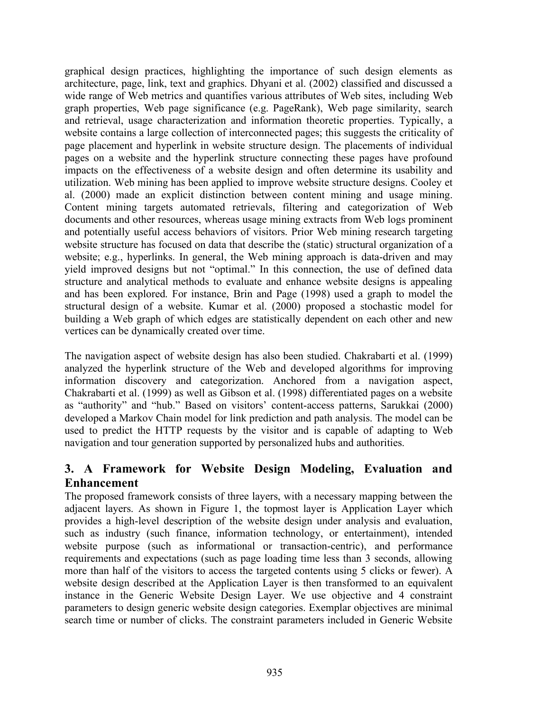graphical design practices, highlighting the importance of such design elements as architecture, page, link, text and graphics. Dhyani et al. (2002) classified and discussed a wide range of Web metrics and quantifies various attributes of Web sites, including Web graph properties, Web page significance (e.g. PageRank), Web page similarity, search and retrieval, usage characterization and information theoretic properties. Typically, a website contains a large collection of interconnected pages; this suggests the criticality of page placement and hyperlink in website structure design. The placements of individual pages on a website and the hyperlink structure connecting these pages have profound impacts on the effectiveness of a website design and often determine its usability and utilization. Web mining has been applied to improve website structure designs. Cooley et al. (2000) made an explicit distinction between content mining and usage mining. Content mining targets automated retrievals, filtering and categorization of Web documents and other resources, whereas usage mining extracts from Web logs prominent and potentially useful access behaviors of visitors. Prior Web mining research targeting website structure has focused on data that describe the (static) structural organization of a website; e.g., hyperlinks. In general, the Web mining approach is data-driven and may yield improved designs but not "optimal." In this connection, the use of defined data structure and analytical methods to evaluate and enhance website designs is appealing and has been explored. For instance, Brin and Page (1998) used a graph to model the structural design of a website. Kumar et al. (2000) proposed a stochastic model for building a Web graph of which edges are statistically dependent on each other and new vertices can be dynamically created over time.

The navigation aspect of website design has also been studied. Chakrabarti et al. (1999) analyzed the hyperlink structure of the Web and developed algorithms for improving information discovery and categorization. Anchored from a navigation aspect, Chakrabarti et al. (1999) as well as Gibson et al. (1998) differentiated pages on a website as "authority" and "hub." Based on visitors' content-access patterns, Sarukkai (2000) developed a Markov Chain model for link prediction and path analysis. The model can be used to predict the HTTP requests by the visitor and is capable of adapting to Web navigation and tour generation supported by personalized hubs and authorities.

# **3. A Framework for Website Design Modeling, Evaluation and Enhancement**

The proposed framework consists of three layers, with a necessary mapping between the adjacent layers. As shown in Figure 1, the topmost layer is Application Layer which provides a high-level description of the website design under analysis and evaluation, such as industry (such finance, information technology, or entertainment), intended website purpose (such as informational or transaction-centric), and performance requirements and expectations (such as page loading time less than 3 seconds, allowing more than half of the visitors to access the targeted contents using 5 clicks or fewer). A website design described at the Application Layer is then transformed to an equivalent instance in the Generic Website Design Layer. We use objective and 4 constraint parameters to design generic website design categories. Exemplar objectives are minimal search time or number of clicks. The constraint parameters included in Generic Website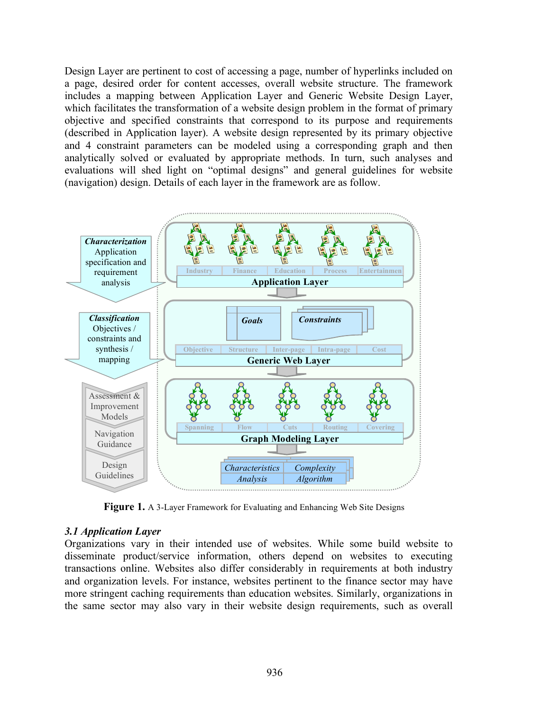Design Layer are pertinent to cost of accessing a page, number of hyperlinks included on a page, desired order for content accesses, overall website structure. The framework includes a mapping between Application Layer and Generic Website Design Layer, which facilitates the transformation of a website design problem in the format of primary objective and specified constraints that correspond to its purpose and requirements (described in Application layer). A website design represented by its primary objective and 4 constraint parameters can be modeled using a corresponding graph and then analytically solved or evaluated by appropriate methods. In turn, such analyses and evaluations will shed light on "optimal designs" and general guidelines for website (navigation) design. Details of each layer in the framework are as follow.



**Figure 1.** A 3-Layer Framework for Evaluating and Enhancing Web Site Designs

## *3.1 Application Layer*

Organizations vary in their intended use of websites. While some build website to disseminate product/service information, others depend on websites to executing transactions online. Websites also differ considerably in requirements at both industry and organization levels. For instance, websites pertinent to the finance sector may have more stringent caching requirements than education websites. Similarly, organizations in the same sector may also vary in their website design requirements, such as overall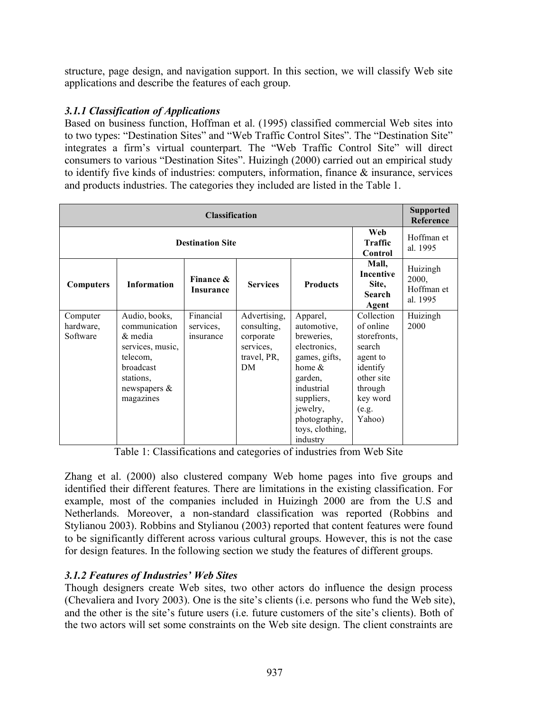structure, page design, and navigation support. In this section, we will classify Web site applications and describe the features of each group.

## *3.1.1 Classification of Applications*

Based on business function, Hoffman et al. (1995) classified commercial Web sites into to two types: "Destination Sites" and "Web Traffic Control Sites". The "Destination Site" integrates a firm's virtual counterpart. The "Web Traffic Control Site" will direct consumers to various "Destination Sites". Huizingh (2000) carried out an empirical study to identify five kinds of industries: computers, information, finance & insurance, services and products industries. The categories they included are listed in the Table 1.

| <b>Classification</b>             |                                                                                                                                     |                                     |                                                                            |                                                                                                                                                                                       |                                                                                                                                   |                                             |  |
|-----------------------------------|-------------------------------------------------------------------------------------------------------------------------------------|-------------------------------------|----------------------------------------------------------------------------|---------------------------------------------------------------------------------------------------------------------------------------------------------------------------------------|-----------------------------------------------------------------------------------------------------------------------------------|---------------------------------------------|--|
|                                   | Web<br>Hoffman et<br><b>Traffic</b><br><b>Destination Site</b><br>Control                                                           |                                     |                                                                            |                                                                                                                                                                                       |                                                                                                                                   |                                             |  |
| <b>Computers</b>                  | <b>Information</b>                                                                                                                  | Finance &<br><b>Insurance</b>       | <b>Services</b>                                                            | <b>Products</b>                                                                                                                                                                       | Mall,<br><b>Incentive</b><br>Site,<br><b>Search</b><br>Agent                                                                      | Huizingh<br>2000,<br>Hoffman et<br>al. 1995 |  |
| Computer<br>hardware,<br>Software | Audio, books,<br>communication<br>& media<br>services, music,<br>telecom,<br>broadcast<br>stations,<br>newspapers $\&$<br>magazines | Financial<br>services,<br>insurance | Advertising,<br>consulting,<br>corporate<br>services,<br>travel, PR,<br>DM | Apparel,<br>automotive,<br>breweries,<br>electronics,<br>games, gifts,<br>home $\&$<br>garden,<br>industrial<br>suppliers,<br>jewelry,<br>photography,<br>toys, clothing,<br>industry | Collection<br>of online<br>storefronts,<br>search<br>agent to<br>identify<br>other site<br>through<br>key word<br>(e.g.<br>Yahoo) | Huizingh<br>2000                            |  |

Table 1: Classifications and categories of industries from Web Site

Zhang et al. (2000) also clustered company Web home pages into five groups and identified their different features. There are limitations in the existing classification. For example, most of the companies included in Huizingh 2000 are from the U.S and Netherlands. Moreover, a non-standard classification was reported (Robbins and Stylianou 2003). Robbins and Stylianou (2003) reported that content features were found to be significantly different across various cultural groups. However, this is not the case for design features. In the following section we study the features of different groups.

## *3.1.2 Features of Industries' Web Sites*

Though designers create Web sites, two other actors do influence the design process (Chevaliera and Ivory 2003). One is the site's clients (i.e. persons who fund the Web site), and the other is the site's future users (i.e. future customers of the site's clients). Both of the two actors will set some constraints on the Web site design. The client constraints are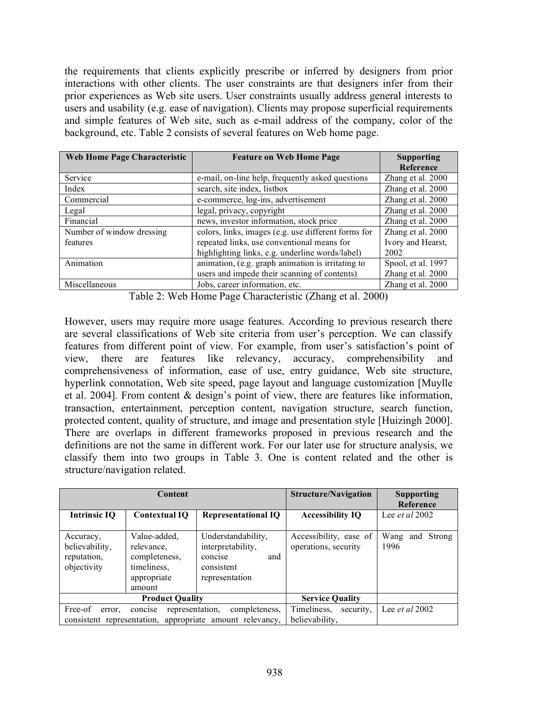the requirements that clients explicitly prescribe or inferred by designers from prior interactions with other clients. The user constraints are that designers infer from their prior experiences as Web site users. User constraints usually address general interests to users and usability (e.g. ease of navigation). Clients may propose superficial requirements and simple features of Web site, such as e-mail address of the company, color of the background, etc. Table 2 consists of several features on Web home page.

| Web Home Page Characteristic | <b>Feature on Web Home Page</b>                     | <b>Supporting</b>  |
|------------------------------|-----------------------------------------------------|--------------------|
|                              |                                                     | Reference          |
| Service                      | e-mail, on-line help, frequently asked questions    | Zhang et al. 2000  |
| Index                        | search, site index, listbox                         | Zhang et al. 2000  |
| Commercial                   | e-commerce, log-ins, advertisement                  | Zhang et al. 2000  |
| Legal                        | legal, privacy, copyright                           | Zhang et al. 2000  |
| Financial                    | news, investor information, stock price             | Zhang et al. 2000  |
| Number of window dressing    | colors, links, images (e.g. use different forms for | Zhang et al. 2000  |
| features                     | repeated links, use conventional means for          | Ivory and Hearst,  |
|                              | highlighting links, e.g. underline words/label)     | 2002               |
| Animation                    | animation, (e.g. graph animation is irritating to   | Spool, et al. 1997 |
|                              | users and impede their scanning of contents)        | Zhang et al. 2000  |
| Miscellaneous                | Jobs, career information, etc.                      | Zhang et al. 2000  |

Table 2: Web Home Page Characteristic (Zhang et al. 2000)

However, users may require more usage features. According to previous research there are several classifications of Web site criteria from user's perception. We can classify features from different point of view. For example, from user's satisfaction's point of view, there are features like relevancy, accuracy, comprehensibility and comprehensiveness of information, ease of use, entry guidance, Web site structure, hyperlink connotation, Web site speed, page layout and language customization [Muylle et al. 2004]. From content & design's point of view, there are features like information, transaction, entertainment, perception content, navigation structure, search function, protected content, quality of structure, and image and presentation style [Huizingh 2000]. There are overlaps in different frameworks proposed in previous research and the definitions are not the same in different work. For our later use for structure analysis, we classify them into two groups in Table 3. One is content related and the other is structure/navigation related.

|                                                           | Content                                                                             |                                                                                           | <b>Structure/Navigation</b>                    | <b>Supporting</b><br>Reference |
|-----------------------------------------------------------|-------------------------------------------------------------------------------------|-------------------------------------------------------------------------------------------|------------------------------------------------|--------------------------------|
| Intrinsic IO                                              | <b>Contextual IQ</b>                                                                | <b>Representational IQ</b>                                                                | <b>Accessibility IQ</b>                        | Lee <i>et al</i> $2002$        |
| Accuracy,<br>believability,<br>reputation,<br>objectivity | Value-added,<br>relevance.<br>completeness,<br>timeliness,<br>appropriate<br>amount | Understandability,<br>interpretability,<br>and<br>concise<br>consistent<br>representation | Accessibility, ease of<br>operations, security | Wang<br>Strong<br>and<br>1996  |
|                                                           | <b>Product Quality</b>                                                              | <b>Service Quality</b>                                                                    |                                                |                                |
| Free-of<br>error,                                         | representation,<br>concise                                                          | completeness,<br>consistent representation, appropriate amount relevancy,                 | Timeliness,<br>security.<br>believability,     | Lee <i>et al</i> 2002          |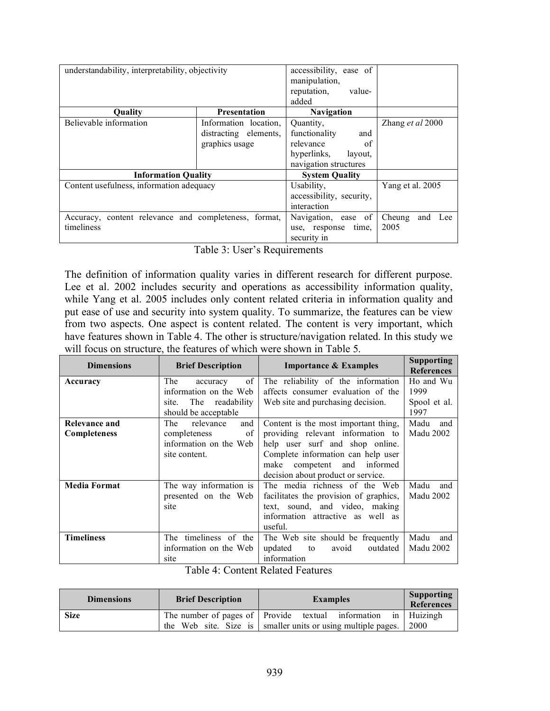| understandability, interpretability, objectivity      | accessibility, ease of<br>manipulation, |                                |                      |
|-------------------------------------------------------|-----------------------------------------|--------------------------------|----------------------|
|                                                       |                                         | reputation.<br>value-<br>added |                      |
| <b>Ouality</b>                                        | <b>Presentation</b>                     | <b>Navigation</b>              |                      |
| Believable information                                | Information location.                   | Quantity,                      | Zhang et al 2000     |
|                                                       | distracting elements,                   | functionality<br>and           |                      |
|                                                       | graphics usage                          | relevance<br>of                |                      |
|                                                       |                                         | hyperlinks,<br>layout.         |                      |
|                                                       |                                         | navigation structures          |                      |
| <b>Information Quality</b>                            |                                         | <b>System Quality</b>          |                      |
| Content usefulness, information adequacy              |                                         | Usability,                     | Yang et al. 2005     |
|                                                       |                                         | accessibility, security,       |                      |
|                                                       |                                         | interaction                    |                      |
| Accuracy, content relevance and completeness, format, |                                         | Navigation, ease of            | Cheung<br>and<br>Lee |
| timeliness                                            |                                         | time.<br>use, response         | 2005                 |
|                                                       |                                         | security in                    |                      |

Table 3: User's Requirements

The definition of information quality varies in different research for different purpose. Lee et al. 2002 includes security and operations as accessibility information quality, while Yang et al. 2005 includes only content related criteria in information quality and put ease of use and security into system quality. To summarize, the features can be view from two aspects. One aspect is content related. The content is very important, which have features shown in Table 4. The other is structure/navigation related. In this study we will focus on structure, the features of which were shown in Table 5.

| <b>Dimensions</b>   | <b>Brief Description</b> | <b>Importance &amp; Examples</b>       | <b>Supporting</b><br><b>References</b> |
|---------------------|--------------------------|----------------------------------------|----------------------------------------|
| Accuracy            | of<br>The<br>accuracy    | The reliability of the information     | Ho and Wu                              |
|                     | information on the Web   | affects consumer evaluation of the     | 1999                                   |
|                     | The readability<br>site. | Web site and purchasing decision.      | Spool et al.                           |
|                     | should be acceptable     |                                        | 1997                                   |
| Relevance and       | relevance<br>The<br>and  | Content is the most important thing,   | Madu<br>and                            |
| <b>Completeness</b> | completeness<br>of       | providing relevant information to      | Madu 2002                              |
|                     | information on the Web   | help user surf and shop online.        |                                        |
|                     | site content.            | Complete information can help user     |                                        |
|                     |                          | competent and informed<br>make         |                                        |
|                     |                          | decision about product or service.     |                                        |
| <b>Media Format</b> | The way information is   | The media richness of the Web          | Madu<br>and                            |
|                     | presented on the Web     | facilitates the provision of graphics, | Madu 2002                              |
|                     | site                     | text, sound, and video, making         |                                        |
|                     |                          | information attractive as well as      |                                        |
|                     |                          | useful.                                |                                        |
| <b>Timeliness</b>   | The timeliness of the    | The Web site should be frequently      | Madu<br>and                            |
|                     | information on the Web   | updated<br>outdated<br>avoid<br>to     | <b>Madu 2002</b>                       |
|                     | site                     | information                            |                                        |

|  | Table 4: Content Related Features |  |
|--|-----------------------------------|--|
|--|-----------------------------------|--|

| <b>Dimensions</b> | <b>Brief Description</b> | <b>Examples</b>                                                | <b>Supporting</b><br>References |
|-------------------|--------------------------|----------------------------------------------------------------|---------------------------------|
| <b>Size</b>       |                          | The number of pages of Provide textual information             | in Huizingh                     |
|                   |                          | the Web site. Size is   smaller units or using multiple pages. | 2000                            |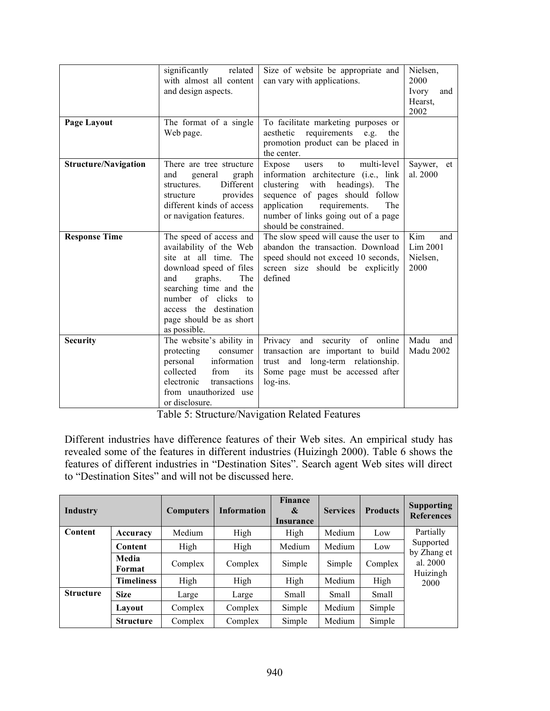| Page Layout                 | significantly<br>related<br>with almost all content<br>and design aspects.<br>The format of a single                                                                                                                                                  | Size of website be appropriate and<br>can vary with applications.<br>To facilitate marketing purposes or                                                                                                                                                           | Nielsen,<br>2000<br>Ivory<br>and<br>Hearst,<br>2002 |
|-----------------------------|-------------------------------------------------------------------------------------------------------------------------------------------------------------------------------------------------------------------------------------------------------|--------------------------------------------------------------------------------------------------------------------------------------------------------------------------------------------------------------------------------------------------------------------|-----------------------------------------------------|
|                             | Web page.                                                                                                                                                                                                                                             | requirements e.g.<br>aesthetic<br>the<br>promotion product can be placed in<br>the center.                                                                                                                                                                         |                                                     |
| <b>Structure/Navigation</b> | There are tree structure<br>and<br>general<br>graph<br>Different<br>structures.<br>provides<br>structure<br>different kinds of access<br>or navigation features.                                                                                      | multi-level<br>Expose<br>users<br>to<br>information architecture (i.e., link<br>clustering<br>with<br>headings).<br>The<br>sequence of pages should follow<br>application<br>requirements.<br>The<br>number of links going out of a page<br>should be constrained. | Saywer,<br>et<br>al. 2000                           |
| <b>Response Time</b>        | The speed of access and<br>availability of the Web<br>site at all time. The<br>download speed of files<br>The<br>and<br>graphs.<br>searching time and the<br>number of clicks to<br>access the destination<br>page should be as short<br>as possible. | The slow speed will cause the user to<br>abandon the transaction. Download<br>speed should not exceed 10 seconds,<br>screen size should be explicitly<br>defined                                                                                                   | Kim<br>and<br>Lim 2001<br>Nielsen,<br>2000          |
| <b>Security</b>             | The website's ability in<br>protecting<br>consumer<br>information<br>personal<br>collected<br>from<br>its<br>electronic<br>transactions<br>from unauthorized use<br>or disclosure.                                                                    | Privacy and security of online<br>transaction are important to build<br>long-term relationship.<br>trust and<br>Some page must be accessed after<br>log-ins.                                                                                                       | Madu<br>and<br><b>Madu 2002</b>                     |

Table 5: Structure/Navigation Related Features

Different industries have difference features of their Web sites. An empirical study has revealed some of the features in different industries (Huizingh 2000). Table 6 shows the features of different industries in "Destination Sites". Search agent Web sites will direct to "Destination Sites" and will not be discussed here.

| <b>Industry</b>  |                   | <b>Computers</b> | <b>Information</b> | <b>Finance</b><br>&<br>Insurance | <b>Services</b> | <b>Products</b> | <b>Supporting</b><br><b>References</b> |
|------------------|-------------------|------------------|--------------------|----------------------------------|-----------------|-----------------|----------------------------------------|
| <b>Content</b>   | Accuracy          | Medium           | High               | High                             | Medium          | Low             | Partially                              |
|                  | Content           | High             | High               | Medium                           | Medium          | Low             | Supported<br>by Zhang et               |
|                  | Media<br>Format   | Complex          | Complex            | Simple                           | Simple          | Complex         | al. 2000<br>Huizingh                   |
|                  | <b>Timeliness</b> | High             | High               | High                             | Medium          | High            | 2000                                   |
| <b>Structure</b> | <b>Size</b>       | Large            | Large              | Small                            | Small           | Small           |                                        |
|                  | Lavout            | Complex          | Complex            | Simple                           | Medium          | Simple          |                                        |
|                  | <b>Structure</b>  | Complex          | Complex            | Simple                           | Medium          | Simple          |                                        |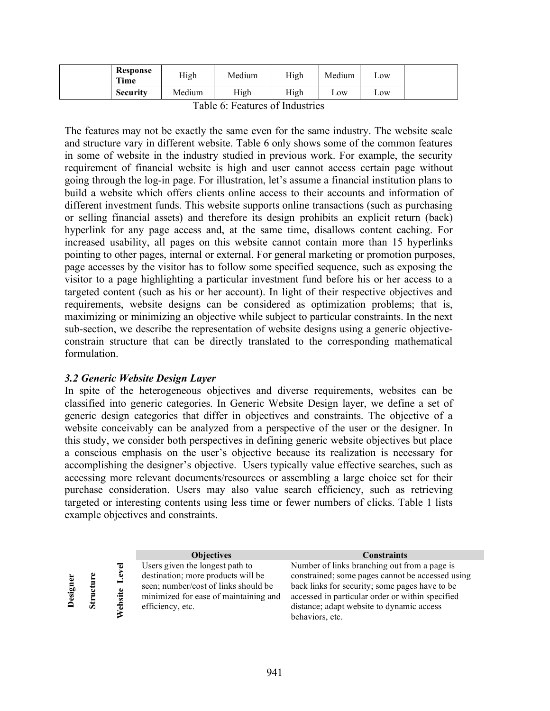| <b>Response</b><br>Time | High   | Medium | High | Medium             | Low |
|-------------------------|--------|--------|------|--------------------|-----|
| <b>Security</b>         | Medium | High   | High | $L$ <sub>O</sub> W | LOW |

The features may not be exactly the same even for the same industry. The website scale and structure vary in different website. Table 6 only shows some of the common features in some of website in the industry studied in previous work. For example, the security requirement of financial website is high and user cannot access certain page without going through the log-in page. For illustration, let's assume a financial institution plans to build a website which offers clients online access to their accounts and information of different investment funds. This website supports online transactions (such as purchasing or selling financial assets) and therefore its design prohibits an explicit return (back) hyperlink for any page access and, at the same time, disallows content caching. For increased usability, all pages on this website cannot contain more than 15 hyperlinks pointing to other pages, internal or external. For general marketing or promotion purposes, page accesses by the visitor has to follow some specified sequence, such as exposing the visitor to a page highlighting a particular investment fund before his or her access to a targeted content (such as his or her account). In light of their respective objectives and requirements, website designs can be considered as optimization problems; that is, maximizing or minimizing an objective while subject to particular constraints. In the next sub-section, we describe the representation of website designs using a generic objectiveconstrain structure that can be directly translated to the corresponding mathematical formulation.

## *3.2 Generic Website Design Layer*

In spite of the heterogeneous objectives and diverse requirements, websites can be classified into generic categories. In Generic Website Design layer, we define a set of generic design categories that differ in objectives and constraints. The objective of a website conceivably can be analyzed from a perspective of the user or the designer. In this study, we consider both perspectives in defining generic website objectives but place a conscious emphasis on the user's objective because its realization is necessary for accomplishing the designer's objective. Users typically value effective searches, such as accessing more relevant documents/resources or assembling a large choice set for their purchase consideration. Users may also value search efficiency, such as retrieving targeted or interesting contents using less time or fewer numbers of clicks. Table 1 lists example objectives and constraints.

|       |    |         | <b>Objectives</b>                     | <b>Constraints</b>                               |
|-------|----|---------|---------------------------------------|--------------------------------------------------|
|       |    | ಕ       | Users given the longest path to       | Number of links branching out from a page is     |
|       |    | ē       | destination; more products will be    | constrained; some pages cannot be accessed using |
|       |    |         | seen; number/cost of links should be  | back links for security; some pages have to be   |
| esign |    | 'ebsite | minimized for ease of maintaining and | accessed in particular order or within specified |
|       | 55 |         | efficiency, etc.                      | distance; adapt website to dynamic access        |
|       |    |         |                                       | behaviors, etc.                                  |
|       |    |         |                                       |                                                  |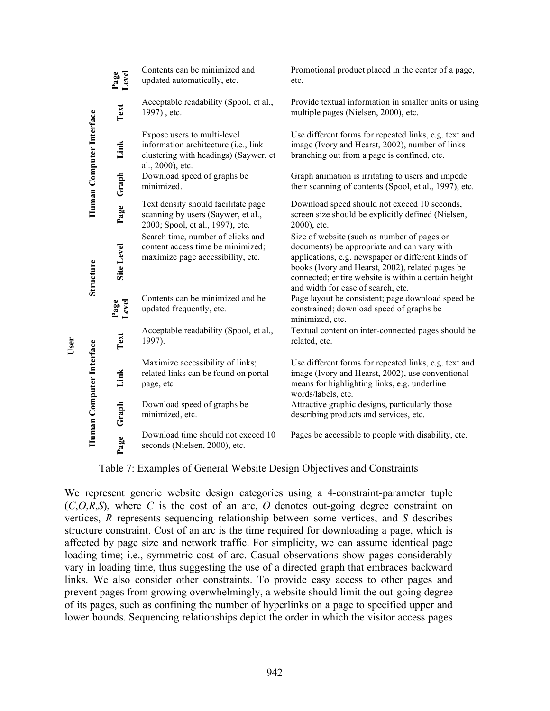|                          | Level<br>Page | Contents can be minimized and<br>updated automatically, etc.                                                                     | Promotional product placed in the center of a page,<br>etc.                                                                                                                                                                                                                                        |
|--------------------------|---------------|----------------------------------------------------------------------------------------------------------------------------------|----------------------------------------------------------------------------------------------------------------------------------------------------------------------------------------------------------------------------------------------------------------------------------------------------|
| Human Computer Interface | Text          | Acceptable readability (Spool, et al.,<br>1997), etc.                                                                            | Provide textual information in smaller units or using<br>multiple pages (Nielsen, 2000), etc.                                                                                                                                                                                                      |
|                          | Link          | Expose users to multi-level<br>information architecture (i.e., link<br>clustering with headings) (Saywer, et<br>al., 2000), etc. | Use different forms for repeated links, e.g. text and<br>image (Ivory and Hearst, 2002), number of links<br>branching out from a page is confined, etc.                                                                                                                                            |
|                          | Graph         | Download speed of graphs be<br>minimized.                                                                                        | Graph animation is irritating to users and impede<br>their scanning of contents (Spool, et al., 1997), etc.                                                                                                                                                                                        |
|                          | Page          | Text density should facilitate page<br>scanning by users (Saywer, et al.,<br>2000; Spool, et al., 1997), etc.                    | Download speed should not exceed 10 seconds,<br>screen size should be explicitly defined (Nielsen,<br>2000), etc.                                                                                                                                                                                  |
| Structure                | Site Level    | Search time, number of clicks and<br>content access time be minimized;<br>maximize page accessibility, etc.                      | Size of website (such as number of pages or<br>documents) be appropriate and can vary with<br>applications, e.g. newspaper or different kinds of<br>books (Ivory and Hearst, 2002), related pages be<br>connected; entire website is within a certain height<br>and width for ease of search, etc. |
|                          | Level<br>Page | Contents can be minimized and be<br>updated frequently, etc.                                                                     | Page layout be consistent; page download speed be<br>constrained; download speed of graphs be<br>minimized, etc.                                                                                                                                                                                   |
| Human Computer Interface | Text          | Acceptable readability (Spool, et al.,<br>1997).                                                                                 | Textual content on inter-connected pages should be<br>related, etc.                                                                                                                                                                                                                                |
|                          | Link          | Maximize accessibility of links;<br>related links can be found on portal<br>page, etc                                            | Use different forms for repeated links, e.g. text and<br>image (Ivory and Hearst, 2002), use conventional<br>means for highlighting links, e.g. underline<br>words/labels, etc.                                                                                                                    |
|                          | Graph         | Download speed of graphs be<br>minimized, etc.                                                                                   | Attractive graphic designs, particularly those<br>describing products and services, etc.                                                                                                                                                                                                           |
|                          | Page          | Download time should not exceed 10<br>seconds (Nielsen, 2000), etc.                                                              | Pages be accessible to people with disability, etc.                                                                                                                                                                                                                                                |

Table 7: Examples of General Website Design Objectives and Constraints

**User**

We represent generic website design categories using a 4-constraint-parameter tuple (*C*,*O*,*R*,*S*), where *C* is the cost of an arc, *O* denotes out-going degree constraint on vertices, *R* represents sequencing relationship between some vertices, and *S* describes structure constraint. Cost of an arc is the time required for downloading a page, which is affected by page size and network traffic. For simplicity, we can assume identical page loading time; i.e., symmetric cost of arc. Casual observations show pages considerably vary in loading time, thus suggesting the use of a directed graph that embraces backward links. We also consider other constraints. To provide easy access to other pages and prevent pages from growing overwhelmingly, a website should limit the out-going degree of its pages, such as confining the number of hyperlinks on a page to specified upper and lower bounds. Sequencing relationships depict the order in which the visitor access pages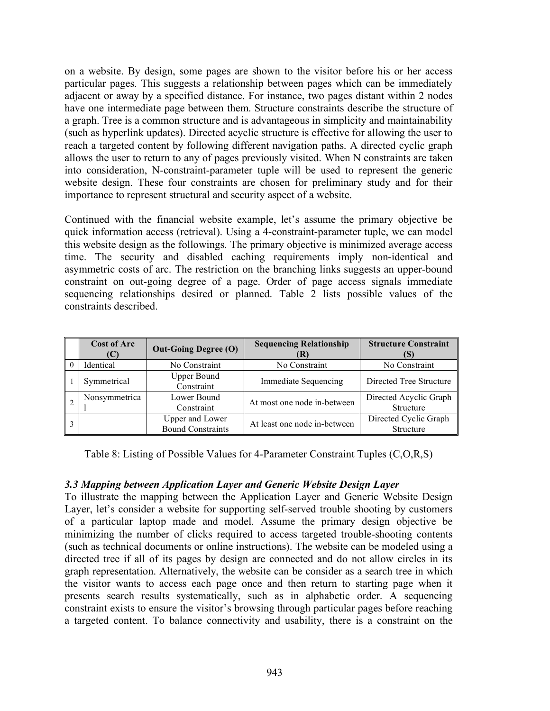on a website. By design, some pages are shown to the visitor before his or her access particular pages. This suggests a relationship between pages which can be immediately adjacent or away by a specified distance. For instance, two pages distant within 2 nodes have one intermediate page between them. Structure constraints describe the structure of a graph. Tree is a common structure and is advantageous in simplicity and maintainability (such as hyperlink updates). Directed acyclic structure is effective for allowing the user to reach a targeted content by following different navigation paths. A directed cyclic graph allows the user to return to any of pages previously visited. When N constraints are taken into consideration, N-constraint-parameter tuple will be used to represent the generic website design. These four constraints are chosen for preliminary study and for their importance to represent structural and security aspect of a website.

Continued with the financial website example, let's assume the primary objective be quick information access (retrieval). Using a 4-constraint-parameter tuple, we can model this website design as the followings. The primary objective is minimized average access time. The security and disabled caching requirements imply non-identical and asymmetric costs of arc. The restriction on the branching links suggests an upper-bound constraint on out-going degree of a page. Order of page access signals immediate sequencing relationships desired or planned. Table 2 lists possible values of the constraints described.

| <b>Cost of Arc</b><br>IU. | <b>Out-Going Degree (O)</b>                 | <b>Sequencing Relationship</b><br>(R) | <b>Structure Constraint</b>         |
|---------------------------|---------------------------------------------|---------------------------------------|-------------------------------------|
| Identical                 | No Constraint                               | No Constraint                         | No Constraint                       |
| Symmetrical               | <b>Upper Bound</b><br>Constraint            | <b>Immediate Sequencing</b>           | Directed Tree Structure             |
| Nonsymmetrica             | Lower Bound<br>Constraint                   | At most one node in-between           | Directed Acyclic Graph<br>Structure |
|                           | Upper and Lower<br><b>Bound Constraints</b> | At least one node in-between          | Directed Cyclic Graph<br>Structure  |

Table 8: Listing of Possible Values for 4-Parameter Constraint Tuples (C,O,R,S)

## *3.3 Mapping between Application Layer and Generic Website Design Layer*

To illustrate the mapping between the Application Layer and Generic Website Design Layer, let's consider a website for supporting self-served trouble shooting by customers of a particular laptop made and model. Assume the primary design objective be minimizing the number of clicks required to access targeted trouble-shooting contents (such as technical documents or online instructions). The website can be modeled using a directed tree if all of its pages by design are connected and do not allow circles in its graph representation. Alternatively, the website can be consider as a search tree in which the visitor wants to access each page once and then return to starting page when it presents search results systematically, such as in alphabetic order. A sequencing constraint exists to ensure the visitor's browsing through particular pages before reaching a targeted content. To balance connectivity and usability, there is a constraint on the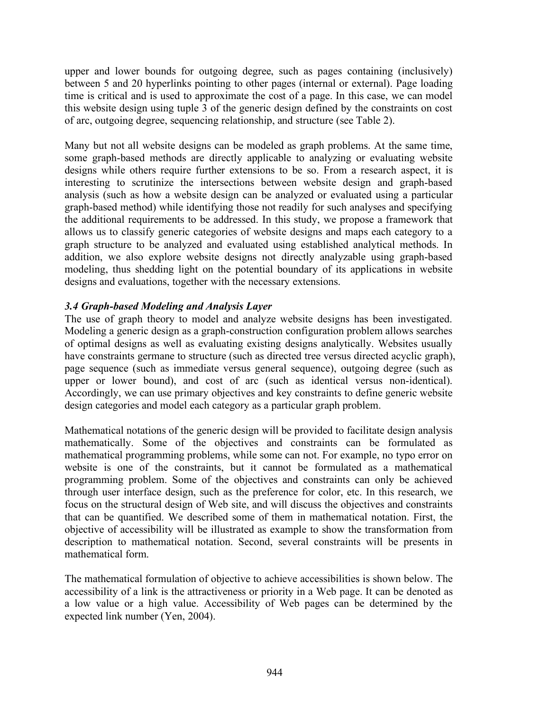upper and lower bounds for outgoing degree, such as pages containing (inclusively) between 5 and 20 hyperlinks pointing to other pages (internal or external). Page loading time is critical and is used to approximate the cost of a page. In this case, we can model this website design using tuple 3 of the generic design defined by the constraints on cost of arc, outgoing degree, sequencing relationship, and structure (see Table 2).

Many but not all website designs can be modeled as graph problems. At the same time, some graph-based methods are directly applicable to analyzing or evaluating website designs while others require further extensions to be so. From a research aspect, it is interesting to scrutinize the intersections between website design and graph-based analysis (such as how a website design can be analyzed or evaluated using a particular graph-based method) while identifying those not readily for such analyses and specifying the additional requirements to be addressed. In this study, we propose a framework that allows us to classify generic categories of website designs and maps each category to a graph structure to be analyzed and evaluated using established analytical methods. In addition, we also explore website designs not directly analyzable using graph-based modeling, thus shedding light on the potential boundary of its applications in website designs and evaluations, together with the necessary extensions.

#### *3.4 Graph-based Modeling and Analysis Layer*

The use of graph theory to model and analyze website designs has been investigated. Modeling a generic design as a graph-construction configuration problem allows searches of optimal designs as well as evaluating existing designs analytically. Websites usually have constraints germane to structure (such as directed tree versus directed acyclic graph), page sequence (such as immediate versus general sequence), outgoing degree (such as upper or lower bound), and cost of arc (such as identical versus non-identical). Accordingly, we can use primary objectives and key constraints to define generic website design categories and model each category as a particular graph problem.

Mathematical notations of the generic design will be provided to facilitate design analysis mathematically. Some of the objectives and constraints can be formulated as mathematical programming problems, while some can not. For example, no typo error on website is one of the constraints, but it cannot be formulated as a mathematical programming problem. Some of the objectives and constraints can only be achieved through user interface design, such as the preference for color, etc. In this research, we focus on the structural design of Web site, and will discuss the objectives and constraints that can be quantified. We described some of them in mathematical notation. First, the objective of accessibility will be illustrated as example to show the transformation from description to mathematical notation. Second, several constraints will be presents in mathematical form.

The mathematical formulation of objective to achieve accessibilities is shown below. The accessibility of a link is the attractiveness or priority in a Web page. It can be denoted as a low value or a high value. Accessibility of Web pages can be determined by the expected link number (Yen, 2004).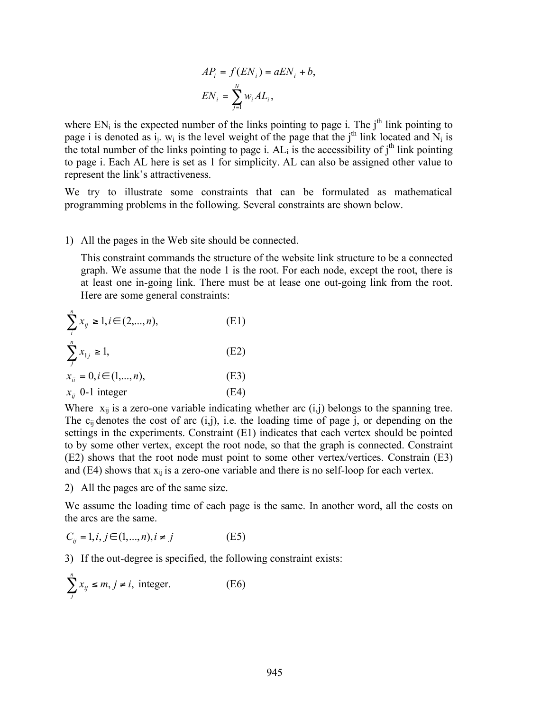$$
AP_i = f(EN_i) = aEN_i + b,
$$
  

$$
EN_i = \sum_{j=1}^{N} w_i AL_i,
$$

where  $EN_i$  is the expected number of the links pointing to page i. The  $j<sup>th</sup>$  link pointing to page i is denoted as  $i_j$ . W<sub>i</sub> is the level weight of the page that the j<sup>th</sup> link located and  $\overline{N}_i$  is the total number of the links pointing to page i.  $AL_i$  is the accessibility of j<sup>th</sup> link pointing to page i. Each AL here is set as 1 for simplicity. AL can also be assigned other value to represent the link's attractiveness.

We try to illustrate some constraints that can be formulated as mathematical programming problems in the following. Several constraints are shown below.

#### 1) All the pages in the Web site should be connected.

This constraint commands the structure of the website link structure to be a connected graph. We assume that the node 1 is the root. For each node, except the root, there is at least one in-going link. There must be at lease one out-going link from the root. Here are some general constraints:

$$
\sum_{i}^{n} x_{ij} \ge 1, i \in (2, ..., n),
$$
\n
$$
\sum_{j}^{n} x_{1j} \ge 1,
$$
\n
$$
x_{ii} = 0, i \in (1, ..., n),
$$
\n(E1)\n
$$
(E2)
$$
\n(E2)

 $x_{ij}$  0-1 integer (E4)

Where  $x_{ij}$  is a zero-one variable indicating whether arc  $(i,j)$  belongs to the spanning tree. The  $c_{ii}$  denotes the cost of arc (i,j), i.e. the loading time of page j, or depending on the settings in the experiments. Constraint (E1) indicates that each vertex should be pointed to by some other vertex, except the root node, so that the graph is connected. Constraint (E2) shows that the root node must point to some other vertex/vertices. Constrain (E3) and  $(E4)$  shows that  $x_{ii}$  is a zero-one variable and there is no self-loop for each vertex.

2) All the pages are of the same size.

We assume the loading time of each page is the same. In another word, all the costs on the arcs are the same.

$$
C_{ij} = 1, i, j \in (1, ..., n), i \neq j
$$
 (E5)

3) If the out-degree is specified, the following constraint exists:

$$
\sum_{j}^{n} x_{ij} \le m, j \ne i, \text{ integer.} \tag{E6}
$$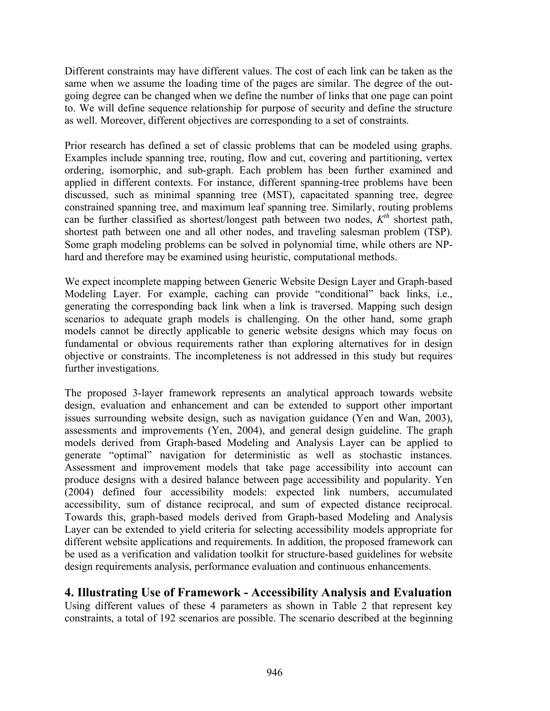Different constraints may have different values. The cost of each link can be taken as the same when we assume the loading time of the pages are similar. The degree of the outgoing degree can be changed when we define the number of links that one page can point to. We will define sequence relationship for purpose of security and define the structure as well. Moreover, different objectives are corresponding to a set of constraints.

Prior research has defined a set of classic problems that can be modeled using graphs. Examples include spanning tree, routing, flow and cut, covering and partitioning, vertex ordering, isomorphic, and sub-graph. Each problem has been further examined and applied in different contexts. For instance, different spanning-tree problems have been discussed, such as minimal spanning tree (MST), capacitated spanning tree, degree constrained spanning tree, and maximum leaf spanning tree. Similarly, routing problems can be further classified as shortest/longest path between two nodes,  $K<sup>th</sup>$  shortest path, shortest path between one and all other nodes, and traveling salesman problem (TSP). Some graph modeling problems can be solved in polynomial time, while others are NPhard and therefore may be examined using heuristic, computational methods.

We expect incomplete mapping between Generic Website Design Layer and Graph-based Modeling Layer. For example, caching can provide "conditional" back links, i.e., generating the corresponding back link when a link is traversed. Mapping such design scenarios to adequate graph models is challenging. On the other hand, some graph models cannot be directly applicable to generic website designs which may focus on fundamental or obvious requirements rather than exploring alternatives for in design objective or constraints. The incompleteness is not addressed in this study but requires further investigations.

The proposed 3-layer framework represents an analytical approach towards website design, evaluation and enhancement and can be extended to support other important issues surrounding website design, such as navigation guidance (Yen and Wan, 2003), assessments and improvements (Yen, 2004), and general design guideline. The graph models derived from Graph-based Modeling and Analysis Layer can be applied to generate "optimal" navigation for deterministic as well as stochastic instances. Assessment and improvement models that take page accessibility into account can produce designs with a desired balance between page accessibility and popularity. Yen (2004) defined four accessibility models: expected link numbers, accumulated accessibility, sum of distance reciprocal, and sum of expected distance reciprocal. Towards this, graph-based models derived from Graph-based Modeling and Analysis Layer can be extended to yield criteria for selecting accessibility models appropriate for different website applications and requirements. In addition, the proposed framework can be used as a verification and validation toolkit for structure-based guidelines for website design requirements analysis, performance evaluation and continuous enhancements.

# **4. Illustrating Use of Framework - Accessibility Analysis and Evaluation**

Using different values of these 4 parameters as shown in Table 2 that represent key constraints, a total of 192 scenarios are possible. The scenario described at the beginning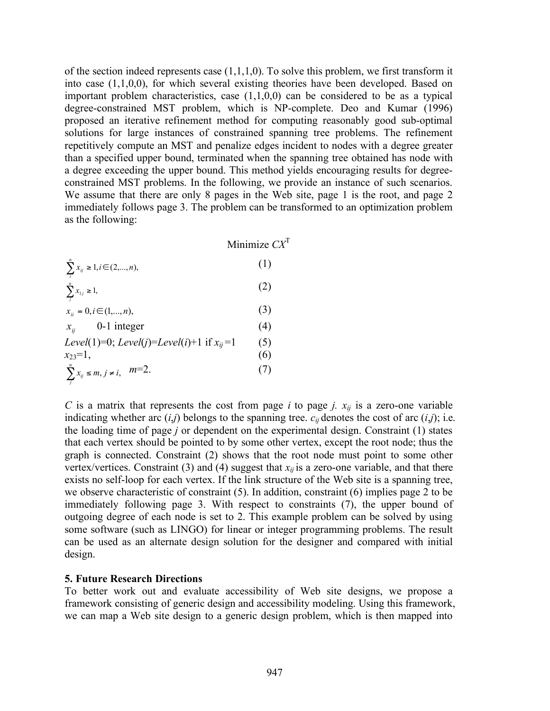of the section indeed represents case  $(1,1,1,0)$ . To solve this problem, we first transform it into case (1,1,0,0), for which several existing theories have been developed. Based on important problem characteristics, case (1,1,0,0) can be considered to be as a typical degree-constrained MST problem, which is NP-complete. Deo and Kumar (1996) proposed an iterative refinement method for computing reasonably good sub-optimal solutions for large instances of constrained spanning tree problems. The refinement repetitively compute an MST and penalize edges incident to nodes with a degree greater than a specified upper bound, terminated when the spanning tree obtained has node with a degree exceeding the upper bound. This method yields encouraging results for degreeconstrained MST problems. In the following, we provide an instance of such scenarios. We assume that there are only 8 pages in the Web site, page 1 is the root, and page 2 immediately follows page 3. The problem can be transformed to an optimization problem as the following:

Minimize *CX*<sup>T</sup>

| $\sum_{i}^{n} x_{ij} \ge 1, i \in (2,,n),$ | (1) |
|--------------------------------------------|-----|
|--------------------------------------------|-----|

$$
\sum_{j}^{n} x_{1j} \ge 1,
$$
\n(2)

$$
x_{ii} = 0, i \in (1, ..., n),
$$
 (3)

$$
x_{ij}
$$
 0-1 integer (4)  
\n $L_{\text{av}}(1) = 0$ ,  $L_{\text{av}}(i) = L_{\text{av}}(i) + 1$  if  $\mu = 1$  (5)

$$
Levet(1)-0, Levei(j)-Levei(i)+1 \text{ if } x_{ij}-1
$$
  
\n
$$
x_{23}=1,
$$
  
\n
$$
\sum_{j}^{n} x_{ij} \leq m, j \neq i, \quad m=2.
$$
  
\n(7)

*C* is a matrix that represents the cost from page *i* to page *j.*  $x_{ij}$  is a zero-one variable indicating whether arc  $(i,j)$  belongs to the spanning tree.  $c_{ij}$  denotes the cost of arc  $(i,j)$ ; i.e. the loading time of page *j* or dependent on the experimental design. Constraint (1) states that each vertex should be pointed to by some other vertex, except the root node; thus the graph is connected. Constraint (2) shows that the root node must point to some other vertex/vertices. Constraint (3) and (4) suggest that  $x_{ii}$  is a zero-one variable, and that there exists no self-loop for each vertex. If the link structure of the Web site is a spanning tree, we observe characteristic of constraint (5). In addition, constraint (6) implies page 2 to be immediately following page 3. With respect to constraints (7), the upper bound of outgoing degree of each node is set to 2. This example problem can be solved by using some software (such as LINGO) for linear or integer programming problems. The result can be used as an alternate design solution for the designer and compared with initial design.

#### **5. Future Research Directions**

To better work out and evaluate accessibility of Web site designs, we propose a framework consisting of generic design and accessibility modeling. Using this framework, we can map a Web site design to a generic design problem, which is then mapped into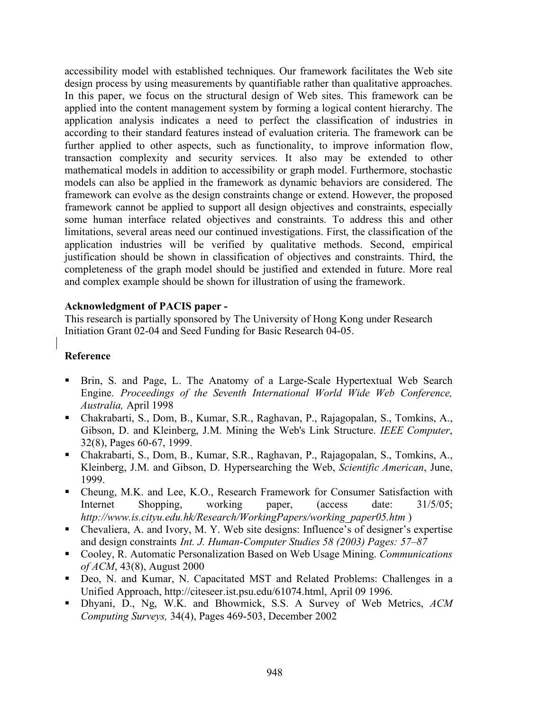accessibility model with established techniques. Our framework facilitates the Web site design process by using measurements by quantifiable rather than qualitative approaches. In this paper, we focus on the structural design of Web sites. This framework can be applied into the content management system by forming a logical content hierarchy. The application analysis indicates a need to perfect the classification of industries in according to their standard features instead of evaluation criteria. The framework can be further applied to other aspects, such as functionality, to improve information flow, transaction complexity and security services. It also may be extended to other mathematical models in addition to accessibility or graph model. Furthermore, stochastic models can also be applied in the framework as dynamic behaviors are considered. The framework can evolve as the design constraints change or extend. However, the proposed framework cannot be applied to support all design objectives and constraints, especially some human interface related objectives and constraints. To address this and other limitations, several areas need our continued investigations. First, the classification of the application industries will be verified by qualitative methods. Second, empirical justification should be shown in classification of objectives and constraints. Third, the completeness of the graph model should be justified and extended in future. More real and complex example should be shown for illustration of using the framework.

#### **Acknowledgment of PACIS paper -**

This research is partially sponsored by The University of Hong Kong under Research Initiation Grant 02-04 and Seed Funding for Basic Research 04-05.

## **Reference**

- Brin, S. and Page, L. The Anatomy of a Large-Scale Hypertextual Web Search Engine. *Proceedings of the Seventh International World Wide Web Conference, Australia,* April 1998
- Chakrabarti, S., Dom, B., Kumar, S.R., Raghavan, P., Rajagopalan, S., Tomkins, A., Gibson, D. and Kleinberg, J.M. Mining the Web's Link Structure. *IEEE Computer*, 32(8), Pages 60-67, 1999.
- Chakrabarti, S., Dom, B., Kumar, S.R., Raghavan, P., Rajagopalan, S., Tomkins, A., Kleinberg, J.M. and Gibson, D. Hypersearching the Web, *Scientific American*, June, 1999.
- Cheung, M.K. and Lee, K.O., Research Framework for Consumer Satisfaction with Internet Shopping, working paper, (access date: 31/5/05; *http://www.is.cityu.edu.hk/Research/WorkingPapers/working\_paper05.htm* )
- Chevaliera, A. and Ivory, M. Y. Web site designs: Influence's of designer's expertise and design constraints *Int. J. Human-Computer Studies 58 (2003) Pages: 57–87*
- Cooley, R. Automatic Personalization Based on Web Usage Mining. *Communications of ACM*, 43(8), August 2000
- Deo, N. and Kumar, N. Capacitated MST and Related Problems: Challenges in a Unified Approach, http://citeseer.ist.psu.edu/61074.html, April 09 1996.
- Dhyani, D., Ng, W.K. and Bhowmick, S.S. A Survey of Web Metrics, *ACM Computing Surveys,* 34(4), Pages 469-503, December 2002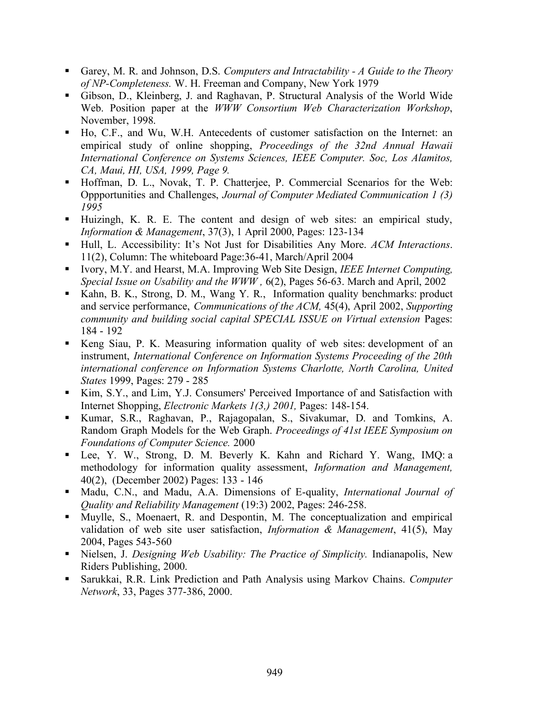- Garey, M. R. and Johnson, D.S. *Computers and Intractability - A Guide to the Theory of NP-Completeness.* W. H. Freeman and Company, New York 1979
- Gibson, D., Kleinberg, J. and Raghavan, P. Structural Analysis of the World Wide Web. Position paper at the *WWW Consortium Web Characterization Workshop*, November, 1998.
- Ho, C.F., and Wu, W.H. Antecedents of customer satisfaction on the Internet: an empirical study of online shopping, *Proceedings of the 32nd Annual Hawaii International Conference on Systems Sciences, IEEE Computer. Soc, Los Alamitos, CA, Maui, HI, USA, 1999, Page 9.*
- Hoffman, D. L., Novak, T. P. Chatterjee, P. Commercial Scenarios for the Web: Oppportunities and Challenges, *Journal of Computer Mediated Communication 1 (3) 1995*
- Huizingh, K. R. E. The content and design of web sites: an empirical study, *Information & Management*, 37(3), 1 April 2000, Pages: 123-134
- Hull, L. Accessibility: It's Not Just for Disabilities Any More. *ACM Interactions*. 11(2), Column: The whiteboard Page:36-41, March/April 2004
- Ivory, M.Y. and Hearst, M.A. Improving Web Site Design, *IEEE Internet Computing, Special Issue on Usability and the WWW ,* 6(2), Pages 56-63. March and April, 2002
- Kahn, B. K., Strong, D. M., Wang Y. R., Information quality benchmarks: product and service performance, *Communications of the ACM,* 45(4), April 2002, *Supporting community and building social capital SPECIAL ISSUE on Virtual extension* Pages: 184 - 192
- Keng Siau, P. K. Measuring information quality of web sites: development of an instrument, *International Conference on Information Systems Proceeding of the 20th international conference on Information Systems Charlotte, North Carolina, United States* 1999, Pages: 279 - 285
- Kim, S.Y., and Lim, Y.J. Consumers' Perceived Importance of and Satisfaction with Internet Shopping, *Electronic Markets 1(3,) 2001,* Pages: 148-154.
- Kumar, S.R., Raghavan, P., Rajagopalan, S., Sivakumar, D. and Tomkins, A. Random Graph Models for the Web Graph. *Proceedings of 41st IEEE Symposium on Foundations of Computer Science.* 2000
- Lee, Y. W., Strong, D. M. Beverly K. Kahn and Richard Y. Wang, IMQ: a methodology for information quality assessment, *Information and Management,* 40(2), (December 2002) Pages: 133 - 146
- Madu, C.N., and Madu, A.A. Dimensions of E-quality, *International Journal of Quality and Reliability Management* (19:3) 2002, Pages: 246-258.
- Muylle, S., Moenaert, R. and Despontin, M. The conceptualization and empirical validation of web site user satisfaction, *Information & Management*, 41(5), May 2004, Pages 543-560
- Nielsen, J. *Designing Web Usability: The Practice of Simplicity.* Indianapolis, New Riders Publishing, 2000.
- Sarukkai, R.R. Link Prediction and Path Analysis using Markov Chains. *Computer Network*, 33, Pages 377-386, 2000.